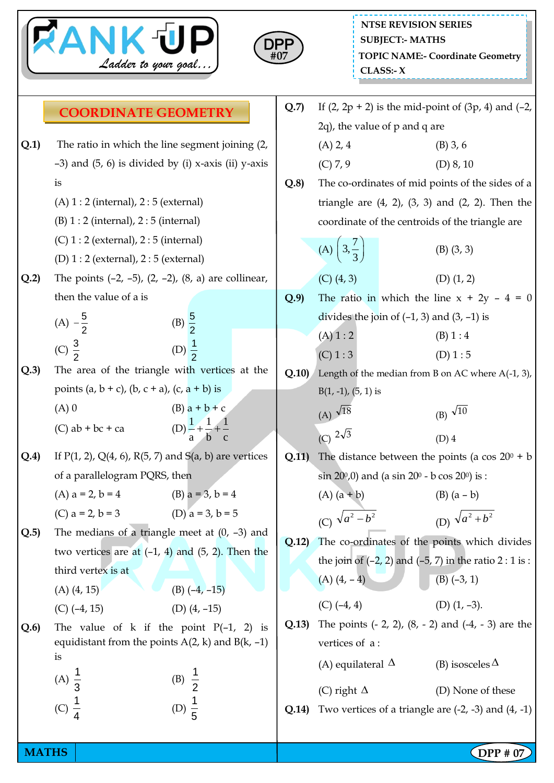



|      | <b>COORDINATE GEOMETRY</b>                                                                       |                                               |       | Q.7                                                     |                                                                            |  | If $(2, 2p + 2)$ is the mid-point of $(3p, 4)$ and $(-2, 4)$ |  |
|------|--------------------------------------------------------------------------------------------------|-----------------------------------------------|-------|---------------------------------------------------------|----------------------------------------------------------------------------|--|--------------------------------------------------------------|--|
|      |                                                                                                  |                                               |       |                                                         | 2q), the value of p and q are                                              |  |                                                              |  |
| Q.1) | The ratio in which the line segment joining (2,                                                  |                                               |       |                                                         | $(A)$ 2, 4                                                                 |  | $(B)$ 3, 6                                                   |  |
|      | $-3$ ) and (5, 6) is divided by (i) x-axis (ii) y-axis                                           |                                               |       |                                                         | (C) 7, 9                                                                   |  | $(D)$ 8, 10                                                  |  |
|      | is                                                                                               |                                               |       | Q.8                                                     |                                                                            |  | The co-ordinates of mid points of the sides of a             |  |
|      | $(A) 1: 2$ (internal), $2: 5$ (external)                                                         |                                               |       |                                                         |                                                                            |  | triangle are $(4, 2)$ , $(3, 3)$ and $(2, 2)$ . Then the     |  |
|      | $(B) 1:2$ (internal), $2:5$ (internal)                                                           |                                               |       |                                                         | coordinate of the centroids of the triangle are                            |  |                                                              |  |
|      | $(C)$ 1 : 2 (external), 2 : 5 (internal)                                                         |                                               |       |                                                         | (A) $\left(3, \frac{7}{3}\right)$                                          |  | $(B)$ $(3, 3)$                                               |  |
|      | $(D)$ 1 : 2 (external), 2 : 5 (external)                                                         |                                               |       |                                                         |                                                                            |  |                                                              |  |
| Q.2  | The points $(-2, -5)$ , $(2, -2)$ , $(8, a)$ are collinear,                                      |                                               |       |                                                         | $(C)$ $(4, 3)$                                                             |  | $(D)$ $(1, 2)$                                               |  |
|      | then the value of a is                                                                           |                                               |       | Q.9                                                     |                                                                            |  | The ratio in which the line $x + 2y - 4 = 0$                 |  |
|      |                                                                                                  | (B) $\frac{5}{2}$                             |       |                                                         | divides the join of $(-1, 3)$ and $(3, -1)$ is                             |  |                                                              |  |
|      | (A) $-\frac{5}{2}$<br>(C) $\frac{3}{2}$                                                          |                                               |       |                                                         | (A) 1:2                                                                    |  | (B) 1:4                                                      |  |
|      |                                                                                                  | (D) $\frac{1}{2}$                             |       |                                                         | (C) 1:3                                                                    |  | (D) 1: 5                                                     |  |
| Q.3  | The area of the triangle with vertices at the                                                    |                                               |       | Q.10                                                    | Length of the median from B on AC where $A(-1, 3)$ ,                       |  |                                                              |  |
|      | points (a, b + c), (b, c + a), (c, a + b) is                                                     |                                               |       |                                                         | $B(1, -1), (5, 1)$ is                                                      |  |                                                              |  |
|      | $(A)$ 0                                                                                          | $(B) a + b + c$                               |       |                                                         | (A) $\sqrt{18}$                                                            |  | (B) $\sqrt{10}$                                              |  |
|      | $(C)$ ab + bc + ca                                                                               | (D) $\frac{1}{a} + \frac{1}{b} + \frac{1}{c}$ |       |                                                         | (C) $2\sqrt{3}$                                                            |  | $(D)$ 4                                                      |  |
| Q.4) |                                                                                                  |                                               |       | Q.11                                                    |                                                                            |  | The distance between the points (a cos $20^0$ + b            |  |
|      | If $P(1, 2)$ , $Q(4, 6)$ , $R(5, 7)$ and $S(a, b)$ are vertices<br>of a parallelogram PQRS, then |                                               |       |                                                         | $\sin 20^{\circ}, 0$ and (a $\sin 20^{\circ}$ - b $\cos 20^{\circ}$ ) is : |  |                                                              |  |
|      | (A) $a = 2$ , $b = 4$                                                                            | (B) $a = 3$ , $b = 4$                         |       |                                                         | $(A) (a + b)$                                                              |  | (B) $(a - b)$                                                |  |
|      | (C) $a = 2$ , $b = 3$                                                                            | (D) $a = 3$ , $b = 5$                         |       |                                                         |                                                                            |  |                                                              |  |
| Q.5  | The medians of a triangle meet at $(0, -3)$ and                                                  |                                               |       |                                                         | (C) $\sqrt{a^2-b^2}$                                                       |  | (D) $\sqrt{a^2 + b^2}$                                       |  |
|      | two vertices are at $(-1, 4)$ and $(5, 2)$ . Then the                                            |                                               |       | Q.12                                                    | The co-ordinates of the points which divides                               |  |                                                              |  |
|      | third vertex is at                                                                               |                                               |       |                                                         |                                                                            |  | the join of $(-2, 2)$ and $(-5, 7)$ in the ratio $2:1$ is :  |  |
|      | $(A)$ $(4, 15)$                                                                                  | $(B)$ $(-4, -15)$                             |       |                                                         | $(A)$ $(4, -4)$                                                            |  | $(B)$ $(-3, 1)$                                              |  |
|      | $(C)$ $(-4, 15)$                                                                                 | (D) $(4, -15)$                                |       |                                                         | $(C)$ $(-4, 4)$                                                            |  | (D) $(1, -3)$ .                                              |  |
| Q.6  | The value of k if the point $P(-1, 2)$ is                                                        |                                               | Q.13) | The points $(-2, 2)$ , $(8, -2)$ and $(-4, -3)$ are the |                                                                            |  |                                                              |  |
|      | equidistant from the points $A(2, k)$ and $B(k, -1)$                                             |                                               |       | vertices of a:                                          |                                                                            |  |                                                              |  |
|      | is                                                                                               |                                               |       |                                                         | (A) equilateral $\Delta$                                                   |  | (B) isosceles $\Delta$                                       |  |
|      | (A) $\frac{1}{3}$                                                                                | (B) $\frac{1}{2}$                             |       |                                                         |                                                                            |  |                                                              |  |
|      | (C) $\frac{1}{4}$                                                                                |                                               |       |                                                         | (C) right $\Delta$                                                         |  | (D) None of these                                            |  |
|      |                                                                                                  | (D) $\frac{1}{5}$                             |       | Q.14)                                                   |                                                                            |  | Two vertices of a triangle are $(-2, -3)$ and $(4, -1)$      |  |

|      | $2q$ , the value of p and q are                          |                |  |  |  |
|------|----------------------------------------------------------|----------------|--|--|--|
|      | $(A)$ 2, 4                                               | $(B)$ 3, 6     |  |  |  |
|      | (C) 7, 9                                                 | $(D)$ 8, 10    |  |  |  |
| Q.8) | The co-ordinates of mid points of the sides of a         |                |  |  |  |
|      | triangle are $(4, 2)$ , $(3, 3)$ and $(2, 2)$ . Then the |                |  |  |  |
|      | coordinate of the centroids of the triangle are          |                |  |  |  |
|      | (A) $\left(3, \frac{7}{3}\right)$                        | $(B)$ $(3, 3)$ |  |  |  |

(C) 
$$
(4, 3)
$$
 (D)  $(1, 2)$ 

(C) 1 : 3 (D) 1 : 5

(A) 
$$
\sqrt[3]{18}
$$
 (B)  $\sqrt{10}$   
(C)  $2\sqrt{3}$  (D) 4

(A) (a + b)  
\n(B) (a - b)  
\n(C) 
$$
\sqrt{a^2 - b^2}
$$
  
\n(D)  $\sqrt{a^2 + b^2}$ 

(C) 
$$
(-4, 4)
$$
 (D)  $(1, -3)$ .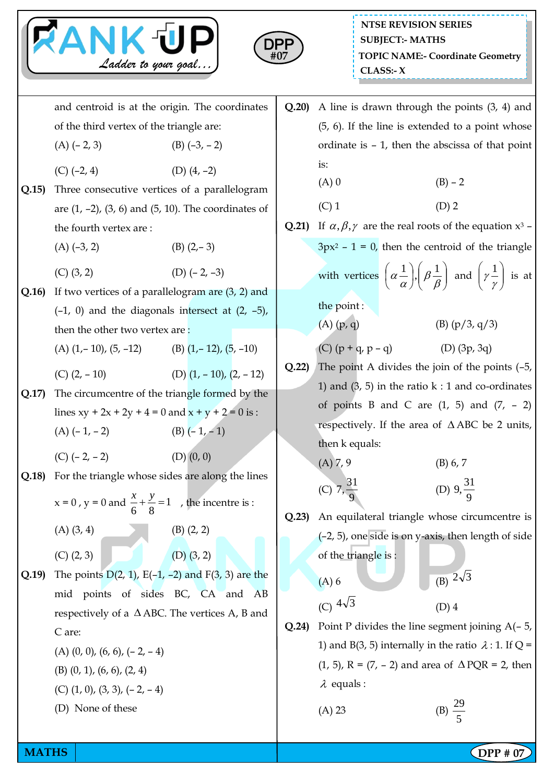



and centroid is at the origin. The coordinates of the third vertex of the triangle are: (A)  $(-2, 3)$  (B)  $(-3, -2)$  $(C)$  (-2, 4) (D) (4, -2) **Q.15)** Three consecutive vertices of a parallelogram are  $(1, -2)$ ,  $(3, 6)$  and  $(5, 10)$ . The coordinates of the fourth vertex are :  $(A)$  (-3, 2) (B) (2,-3) (C)  $(3, 2)$  (D)  $(-2, -3)$ **Q.16)** If two vertices of a parallelogram are (3, 2) and  $(-1, 0)$  and the diagonals intersect at  $(2, -5)$ , then the other two vertex are : (A)  $(1, -10)$ ,  $(5, -12)$  (B)  $(1, -12)$ ,  $(5, -10)$ (C)  $(2, -10)$  (D)  $(1, -10)$ ,  $(2, -12)$ **Q.17)** The circumcentre of the triangle formed by the lines  $xy + 2x + 2y + 4 = 0$  and  $x + y + 2 = 0$  is :  $(A)$  (– 1, – 2) (B) (– 1, – 1)  $(C)$  (-2, -2) (D) (0, 0) **Q.18)** For the triangle whose sides are along the lines  $x = 0$ ,  $y = 0$  and  $\frac{x}{2} + \frac{y}{2} = 1$ 6 8  $\frac{x}{5} + \frac{y}{2} = 1$ , the incentre is :  $(A)$   $(3, 4)$   $(B)$   $(2, 2)$  $(C)$   $(2, 3)$  (D)  $(3, 2)$ **Q.19)** The points D(2, 1), E(–1, –2) and F(3, 3) are the mid points of sides BC, CA and AB respectively of a  $\triangle$  ABC. The vertices A, B and C are:  $(A)$   $(0, 0)$ ,  $(6, 6)$ ,  $(-2, -4)$ (B) (0, 1), (6, 6), (2, 4)  $(C)$   $(1, 0)$ ,  $(3, 3)$ ,  $(-2, -4)$ (D) None of these

- **Q.20)** A line is drawn through the points (3, 4) and (5, 6). If the line is extended to a point whose ordinate is – 1, then the abscissa of that point is: (A) 0 (B) – 2  $(C) 1$  (D) 2 **Q.21**) If  $\alpha, \beta, \gamma$  are the real roots of the equation  $x^3$  –  $3px^{2} - 1 = 0$ , then the centroid of the triangle with vertices  $\left|\alpha \frac{1}{\alpha}\right|, \left|\beta \frac{1}{\beta}\right|$  $\bigg)$  $\setminus$  $\overline{\phantom{a}}$  $\overline{\mathcal{L}}$ ſ  $\overline{\phantom{a}}$  $\big)$  $\left(\alpha-\frac{1}{2}\right)$  $\setminus$ ſ  $_{\beta}$  $\frac{1}{\alpha}$ ,  $\beta$  $\left(\alpha \frac{1}{\alpha}\right), \left(\beta \frac{1}{\beta}\right)$  and  $\left(\gamma \frac{1}{\gamma}\right)$  $\bigg)$  $\setminus$  $\overline{\phantom{a}}$  $\setminus$ ſ γ  $\left[\gamma^{\frac{1}{n}}\right]$  is at the point : (A)  $(p, q)$  (B)  $(p/3, q/3)$ (C)  $(p + q, p - q)$  (D)  $(3p, 3q)$ **Q.22)** The point A divides the join of the points (–5, 1) and  $(3, 5)$  in the ratio k : 1 and co-ordinates of points B and C are  $(1, 5)$  and  $(7, -2)$ respectively. If the area of  $\triangle$  ABC be 2 units, then k equals:  $(A) 7, 9$  (B) 6, 7 (C)  $7, \frac{31}{9}$ 9 (D)  $9, \frac{31}{9}$ 9 **Q.23)** An equilateral triangle whose circumcentre is (–2, 5), one side is on y-axis, then length of side of the triangle is :  $(A)$  6 (B)  $2\sqrt{3}$ (C)  $4\sqrt{3}$ (D) 4 **Q.24)** Point P divides the line segment joining A(– 5, 1) and B(3, 5) internally in the ratio  $\lambda$  : 1. If Q = (1, 5),  $R = (7, -2)$  and area of  $\triangle PQR = 2$ , then  $\lambda$  equals :
	- $(A) 23$
- 

29 5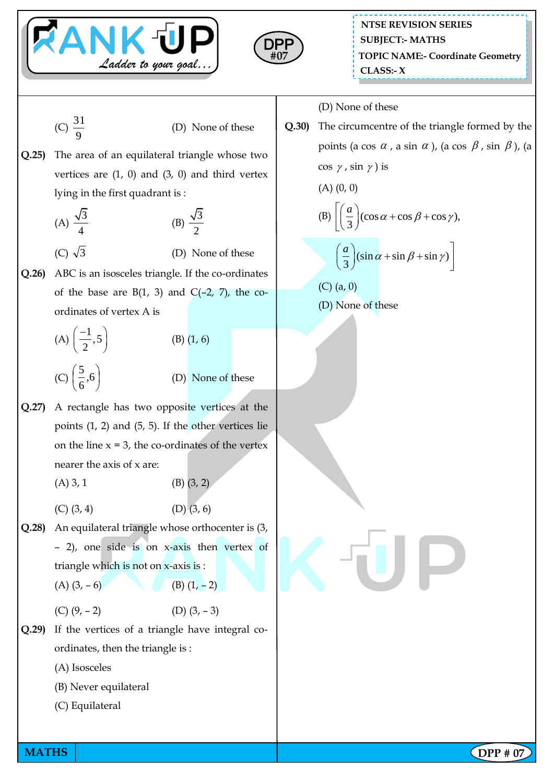